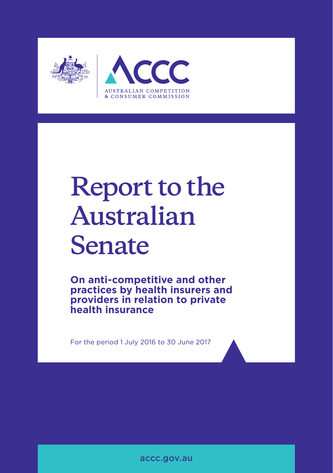

# **Report to the Australian Senate**

**On anti-competitive and other practices by health insurers and providers in relation to private health insurance**

For the period 1 July 2016 to 30 June 2017

accc.gov.au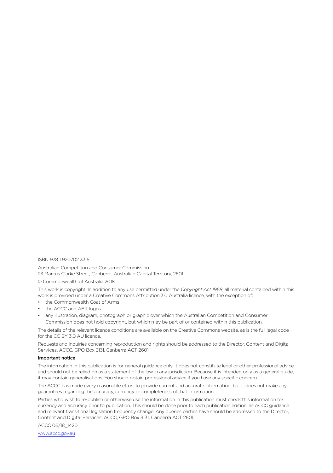#### ISBN 978 1 920702 33 5

Australian Competition and Consumer Commission 23 Marcus Clarke Street, Canberra, Australian Capital Territory, 2601

#### © Commonwealth of Australia 2018

This work is copyright. In addition to any use permitted under the *Copyright Act 1968*, all material contained within this work is provided under a Creative Commons Attribution 3.0 Australia licence, with the exception of:

- the Commonwealth Coat of Arms
- the ACCC and AER logos
- any illustration, diagram, photograph or graphic over which the Australian Competition and Consumer Commission does not hold copyright, but which may be part of or contained within this publication.

The details of the relevant licence conditions are available on the Creative Commons website, as is the full legal code for the CC BY 3.0 AU licence.

Requests and inquiries concerning reproduction and rights should be addressed to the Director, Content and Digital Services, ACCC, GPO Box 3131, Canberra ACT 2601.

#### Important notice

The information in this publication is for general guidance only. It does not constitute legal or other professional advice, and should not be relied on as a statement of the law in any jurisdiction. Because it is intended only as a general guide, it may contain generalisations. You should obtain professional advice if you have any specific concern.

The ACCC has made every reasonable effort to provide current and accurate information, but it does not make any guarantees regarding the accuracy, currency or completeness of that information.

Parties who wish to re-publish or otherwise use the information in this publication must check this information for currency and accuracy prior to publication. This should be done prior to each publication edition, as ACCC guidance and relevant transitional legislation frequently change. Any queries parties have should be addressed to the Director, Content and Digital Services, ACCC, GPO Box 3131, Canberra ACT 2601.

ACCC 06/18\_1420

www.accc.gov.au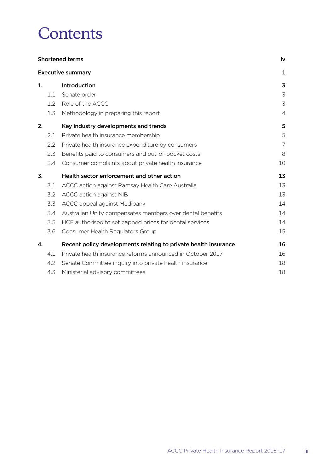## **Contents**

| <b>Shortened terms</b> |     |                                                                 | iv             |  |
|------------------------|-----|-----------------------------------------------------------------|----------------|--|
|                        |     | <b>Executive summary</b>                                        | 1              |  |
| 1.                     |     | Introduction                                                    | 3              |  |
|                        | 1.1 | Senate order                                                    | 3              |  |
|                        | 1.2 | Role of the ACCC                                                | 3              |  |
|                        | 1.3 | Methodology in preparing this report                            | $\overline{4}$ |  |
| 2.                     |     | Key industry developments and trends                            | 5              |  |
|                        | 2.1 | Private health insurance membership                             | 5              |  |
|                        | 2.2 | Private health insurance expenditure by consumers               | 7              |  |
|                        | 2.3 | Benefits paid to consumers and out-of-pocket costs              | 8              |  |
|                        | 2.4 | Consumer complaints about private health insurance              | 10             |  |
| 3.                     |     | Health sector enforcement and other action                      | 13             |  |
|                        | 3.1 | ACCC action against Ramsay Health Care Australia                | 13             |  |
|                        | 3.2 | ACCC action against NIB                                         | 13             |  |
|                        | 3.3 | ACCC appeal against Medibank                                    | 14             |  |
|                        | 3.4 | Australian Unity compensates members over dental benefits       | 14             |  |
|                        | 3.5 | HCF authorised to set capped prices for dental services         | 14             |  |
|                        | 3.6 | Consumer Health Regulators Group                                | 15             |  |
| 4.                     |     | Recent policy developments relating to private health insurance | 16             |  |
|                        | 4.1 | Private health insurance reforms announced in October 2017      | 16             |  |
|                        | 4.2 | Senate Committee inquiry into private health insurance          | 18             |  |
|                        | 4.3 | Ministerial advisory committees                                 | 18             |  |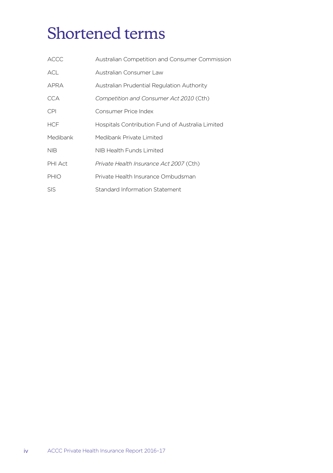## <span id="page-3-0"></span>Shortened terms

| <b>ACCC</b> | Australian Competition and Consumer Commission   |
|-------------|--------------------------------------------------|
| <b>ACL</b>  | Australian Consumer Law                          |
| APRA        | Australian Prudential Regulation Authority       |
| CCA         | Competition and Consumer Act 2010 (Cth)          |
| <b>CPI</b>  | Consumer Price Index                             |
| <b>HCF</b>  | Hospitals Contribution Fund of Australia Limited |
| Medibank    | Medibank Private Limited                         |
| <b>NIB</b>  | NIB Health Funds Limited                         |
| PHI Act     | Private Health Insurance Act 2007 (Cth)          |
| PHIO        | Private Health Insurance Ombudsman               |
| <b>SIS</b>  | Standard Information Statement                   |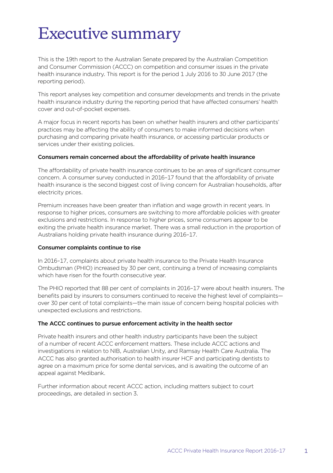## <span id="page-4-0"></span>Executive summary

This is the 19th report to the Australian Senate prepared by the Australian Competition and Consumer Commission (ACCC) on competition and consumer issues in the private health insurance industry. This report is for the period 1 July 2016 to 30 June 2017 (the reporting period).

This report analyses key competition and consumer developments and trends in the private health insurance industry during the reporting period that have affected consumers' health cover and out-of-pocket expenses.

A major focus in recent reports has been on whether health insurers and other participants' practices may be affecting the ability of consumers to make informed decisions when purchasing and comparing private health insurance, or accessing particular products or services under their existing policies.

#### Consumers remain concerned about the affordability of private health insurance

The affordability of private health insurance continues to be an area of significant consumer concern. A consumer survey conducted in 2016–17 found that the affordability of private health insurance is the second biggest cost of living concern for Australian households, after electricity prices.

Premium increases have been greater than inflation and wage growth in recent years. In response to higher prices, consumers are switching to more affordable policies with greater exclusions and restrictions. In response to higher prices, some consumers appear to be exiting the private health insurance market. There was a small reduction in the proportion of Australians holding private health insurance during 2016–17.

#### Consumer complaints continue to rise

In 2016–17, complaints about private health insurance to the Private Health Insurance Ombudsman (PHIO) increased by 30 per cent, continuing a trend of increasing complaints which have risen for the fourth consecutive year.

The PHIO reported that 88 per cent of complaints in 2016–17 were about health insurers. The benefits paid by insurers to consumers continued to receive the highest level of complaints over 30 per cent of total complaints—the main issue of concern being hospital policies with unexpected exclusions and restrictions.

#### The ACCC continues to pursue enforcement activity in the health sector

Private health insurers and other health industry participants have been the subject of a number of recent ACCC enforcement matters. These include ACCC actions and investigations in relation to NIB, Australian Unity, and Ramsay Health Care Australia. The ACCC has also granted authorisation to health insurer HCF and participating dentists to agree on a maximum price for some dental services, and is awaiting the outcome of an appeal against Medibank.

Further information about recent ACCC action, including matters subject to court proceedings, are detailed in section 3.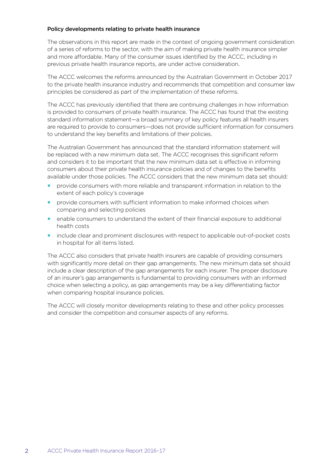#### Policy developments relating to private health insurance

The observations in this report are made in the context of ongoing government consideration of a series of reforms to the sector, with the aim of making private health insurance simpler and more affordable. Many of the consumer issues identified by the ACCC, including in previous private health insurance reports, are under active consideration.

The ACCC welcomes the reforms announced by the Australian Government in October 2017 to the private health insurance industry and recommends that competition and consumer law principles be considered as part of the implementation of these reforms.

The ACCC has previously identified that there are continuing challenges in how information is provided to consumers of private health insurance. The ACCC has found that the existing standard information statement—a broad summary of key policy features all health insurers are required to provide to consumers—does not provide sufficient information for consumers to understand the key benefits and limitations of their policies.

The Australian Government has announced that the standard information statement will be replaced with a new minimum data set. The ACCC recognises this significant reform and considers it to be important that the new minimum data set is effective in informing consumers about their private health insurance policies and of changes to the benefits available under those policies. The ACCC considers that the new minimum data set should:

- provide consumers with more reliable and transparent information in relation to the extent of each policy's coverage
- provide consumers with sufficient information to make informed choices when comparing and selecting policies
- enable consumers to understand the extent of their financial exposure to additional health costs
- **include clear and prominent disclosures with respect to applicable out-of-pocket costs** in hospital for all items listed.

The ACCC also considers that private health insurers are capable of providing consumers with significantly more detail on their gap arrangements. The new minimum data set should include a clear description of the gap arrangements for each insurer. The proper disclosure of an insurer's gap arrangements is fundamental to providing consumers with an informed choice when selecting a policy, as gap arrangements may be a key differentiating factor when comparing hospital insurance policies.

The ACCC will closely monitor developments relating to these and other policy processes and consider the competition and consumer aspects of any reforms.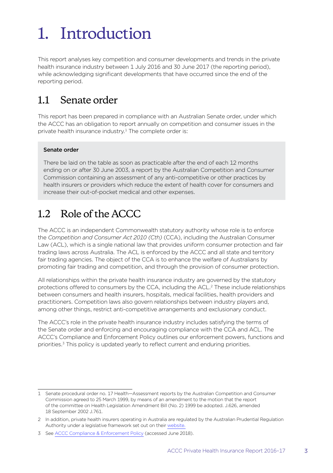## <span id="page-6-0"></span>1. Introduction

This report analyses key competition and consumer developments and trends in the private health insurance industry between 1 July 2016 and 30 June 2017 (the reporting period), while acknowledging significant developments that have occurred since the end of the reporting period.

## 1.1 Senate order

This report has been prepared in compliance with an Australian Senate order, under which the ACCC has an obligation to report annually on competition and consumer issues in the private health insurance industry.<sup>1</sup> The complete order is:

#### Senate order

There be laid on the table as soon as practicable after the end of each 12 months ending on or after 30 June 2003, a report by the Australian Competition and Consumer Commission containing an assessment of any anti-competitive or other practices by health insurers or providers which reduce the extent of health cover for consumers and increase their out-of-pocket medical and other expenses.

## 1.2 Role of the ACCC

The ACCC is an independent Commonwealth statutory authority whose role is to enforce the *Competition and Consumer Act 2010 (Cth)* (CCA), including the Australian Consumer Law (ACL), which is a single national law that provides uniform consumer protection and fair trading laws across Australia. The ACL is enforced by the ACCC and all state and territory fair trading agencies. The object of the CCA is to enhance the welfare of Australians by promoting fair trading and competition, and through the provision of consumer protection.

All relationships within the private health insurance industry are governed by the statutory protections offered to consumers by the CCA, including the ACL.2 These include relationships between consumers and health insurers, hospitals, medical facilities, health providers and practitioners. Competition laws also govern relationships between industry players and, among other things, restrict anti-competitive arrangements and exclusionary conduct.

The ACCC's role in the private health insurance industry includes satisfying the terms of the Senate order and enforcing and encouraging compliance with the CCA and ACL. The ACCC's Compliance and Enforcement Policy outlines our enforcement powers, functions and priorities.<sup>3</sup> This policy is updated yearly to reflect current and enduring priorities.

<sup>1</sup> Senate procedural order no. 17 Health—Assessment reports by the Australian Competition and Consumer Commission agreed to 25 March 1999, by means of an amendment to the motion that the report of the committee on Health Legislation Amendment Bill (No. 2) 1999 be adopted. J.626, amended 18 September 2002 J.761.

<sup>2</sup> In addition, private health insurers operating in Australia are regulated by the Australian Prudential Regulation Authority under a legislative framework set out on their [website.](http://www.apra.gov.au/private-health-insurance)

<sup>3</sup> See [ACCC Compliance & Enforcement Policy](https://www.accc.gov.au/about-us/australian-competition-consumer-commission/compliance-enforcement-policy-priorities) (accessed June 2018).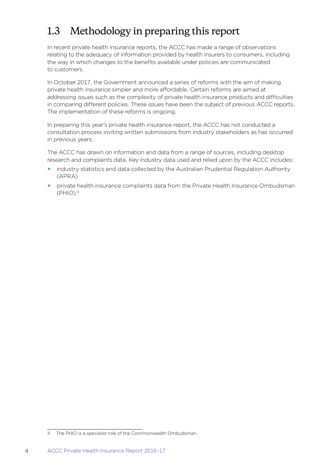## <span id="page-7-0"></span>1.3 Methodology in preparing this report

In recent private health insurance reports, the ACCC has made a range of observations relating to the adequacy of information provided by health insurers to consumers, including the way in which changes to the benefits available under policies are communicated to customers.

In October 2017, the Government announced a series of reforms with the aim of making private health insurance simpler and more affordable. Certain reforms are aimed at addressing issues such as the complexity of private health insurance products and difficulties in comparing different policies. These issues have been the subject of previous ACCC reports. The implementation of these reforms is ongoing.

In preparing this year's private health insurance report, the ACCC has not conducted a consultation process inviting written submissions from industry stakeholders as has occurred in previous years.

The ACCC has drawn on information and data from a range of sources, including desktop research and complaints data. Key industry data used and relied upon by the ACCC includes:

- industry statistics and data collected by the Australian Prudential Regulation Authority (APRA)
- **P** private health insurance complaints data from the Private Health Insurance Ombudsman  $(PHIO).<sup>4</sup>$

<sup>4</sup> The PHIO is a specialist role of the Commonwealth Ombudsman.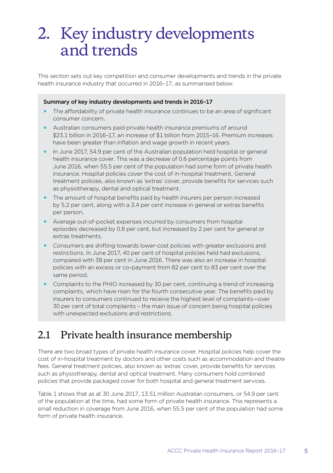## <span id="page-8-0"></span>2. Key industry developments and trends

This section sets out key competition and consumer developments and trends in the private health insurance industry that occurred in 2016–17, as summarised below.

#### Summary of key industry developments and trends in 2016–17

- The affordability of private health insurance continues to be an area of significant consumer concern.
- Australian consumers paid private health insurance premiums of around \$23.1 billion in 2016–17, an increase of \$1 billion from 2015–16. Premium increases have been greater than inflation and wage growth in recent years.
- In June 2017, 54.9 per cent of the Australian population held hospital or general health insurance cover. This was a decrease of 0.6 percentage points from June 2016, when 55.5 per cent of the population had some form of private health insurance. Hospital policies cover the cost of in-hospital treatment. General treatment policies, also known as 'extras' cover, provide benefits for services such as physiotherapy, dental and optical treatment.
- The amount of hospital benefits paid by health insurers per person increased by 5.2 per cent, along with a 3.4 per cent increase in general or extras benefits per person.
- Average out-of-pocket expenses incurred by consumers from hospital episodes decreased by 0.8 per cent, but increased by 2 per cent for general or extras treatments.
- **Consumers are shifting towards lower-cost policies with greater exclusions and** restrictions. In June 2017, 40 per cent of hospital policies held had exclusions, compared with 38 per cent in June 2016. There was also an increase in hospital policies with an excess or co-payment from 82 per cent to 83 per cent over the same period.
- **Complaints to the PHIO increased by 30 per cent, continuing a trend of increasing** complaints, which have risen for the fourth consecutive year. The benefits paid by insurers to consumers continued to receive the highest level of complaints—over 30 per cent of total complaints – the main issue of concern being hospital policies with unexpected exclusions and restrictions.

## 2.1 Private health insurance membership

There are two broad types of private health insurance cover. Hospital policies help cover the cost of in-hospital treatment by doctors and other costs such as accommodation and theatre fees. General treatment policies, also known as 'extras' cover, provide benefits for services such as physiotherapy, dental and optical treatment. Many consumers hold combined policies that provide packaged cover for both hospital and general treatment services.

Table 1 shows that as at 30 June 2017, 13.51 million Australian consumers, or 54.9 per cent of the population at the time, had some form of private health insurance. This represents a small reduction in coverage from June 2016, when 55.5 per cent of the population had some form of private health insurance.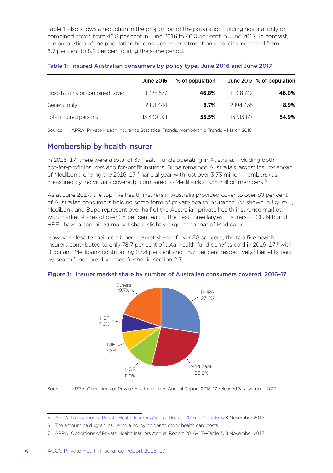Table 1 also shows a reduction in the proportion of the population holding hospital only or combined cover, from 46.8 per cent in June 2016 to 46.0 per cent in June 2017. In contrast, the proportion of the population holding general treatment only policies increased from 8.7 per cent to 8.9 per cent during the same period.

|                                 | <b>June 2016</b> | % of population |            | June 2017 % of population |
|---------------------------------|------------------|-----------------|------------|---------------------------|
| Hospital only or combined cover | 11 328 577       | 46.8%           | 11 318 742 | 46.0%                     |
| General only                    | 2101444          | 8.7%            | 2 194 435  | 8.9%                      |
| Total insured persons           | 13 430 021       | 55.5%           | 13 513 177 | 54.9%                     |

#### Table 1: Insured Australian consumers by policy type, June 2016 and June 2017

Source: APRA, Private Health Insurance Statistical Trends, Membership Trends – March 2018.

#### Membership by health insurer

In 2016–17, there were a total of 37 health funds operating in Australia, including both not-for-profit insurers and for-profit insurers. Bupa remained Australia's largest insurer ahead of Medibank, ending the 2016–17 financial year with just over 3.73 million members (as measured by individuals covered), compared to Medibank's 3.55 million members.5

As at June 2017, the top five health insurers in Australia provided cover to over 80 per cent of Australian consumers holding some form of private health insurance. As shown in figure 1, Medibank and Bupa represent over half of the Australian private health insurance market, with market shares of over 26 per cent each. The next three largest insurers—HCF, NIB and HBF—have a combined market share slightly larger than that of Medibank.

However, despite their combined market share of over 80 per cent, the top five health insurers contributed to only 78.7 per cent of total health fund benefits paid in 2016-17,<sup>6</sup> with Bupa and Medibank contributing 27.4 per cent and 25.7 per cent respectively.7 Benefits paid by health funds are discussed further in section 2.3.



#### Figure 1: Insurer market share by number of Australian consumers covered, 2016–17

Source: APRA, Operations of Private Health Insurers Annual Report 2016–17, released 8 November 2017.

<sup>5</sup> APRA, [Operations of Private Health Insurers Annual Report 2016–17—Table 3](http://www.apra.gov.au/publications/operations-private-health-insurers-annual-report), 8 November 2017.

<sup>6</sup> The amount paid by an insurer to a policy holder to cover health care costs.

<sup>7</sup> APRA, Operations of Private Health Insurers Annual Report 2016–17—Table 3, 8 November 2017.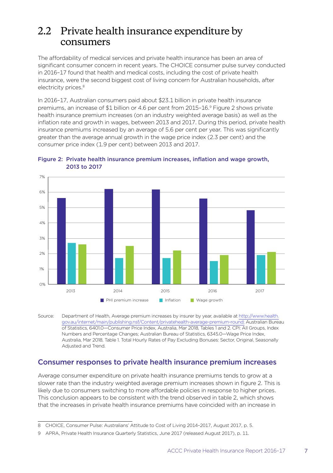### <span id="page-10-0"></span>2.2 Private health insurance expenditure by consumers

The affordability of medical services and private health insurance has been an area of significant consumer concern in recent years. The CHOICE consumer pulse survey conducted in 2016–17 found that health and medical costs, including the cost of private health insurance, were the second biggest cost of living concern for Australian households, after electricity prices.<sup>8</sup>

In 2016–17, Australian consumers paid about \$23.1 billion in private health insurance premiums, an increase of \$1 billion or 4.6 per cent from 2015–16.9 Figure 2 shows private health insurance premium increases (on an industry weighted average basis) as well as the inflation rate and growth in wages, between 2013 and 2017. During this period, private health insurance premiums increased by an average of 5.6 per cent per year. This was significantly greater than the average annual growth in the wage price index (2.3 per cent) and the consumer price index (1.9 per cent) between 2013 and 2017.





Source: Department of Health, Average premium increases by insurer by year, available at [http://www.health.](http://www.health.gov.au/internet/main/publishing.nsf/Content/privatehealth-average-premium-round) [gov.au/internet/main/publishing.nsf/Content/privatehealth-average-premium-round](http://www.health.gov.au/internet/main/publishing.nsf/Content/privatehealth-average-premium-round); Australian Bureau of Statistics, 6401.0—Consumer Price Index, Australia, Mar 2018, Tables 1 and 2. CPI: All Groups, Index Numbers and Percentage Changes; Australian Bureau of Statistics, 6345.0—Wage Price Index, Australia, Mar 2018, Table 1. Total Hourly Rates of Pay Excluding Bonuses: Sector, Original, Seasonally Adjusted and Trend.

#### Consumer responses to private health insurance premium increases

Average consumer expenditure on private health insurance premiums tends to grow at a slower rate than the industry weighted average premium increases shown in figure 2. This is likely due to consumers switching to more affordable policies in response to higher prices. This conclusion appears to be consistent with the trend observed in table 2, which shows that the increases in private health insurance premiums have coincided with an increase in

<sup>8</sup> CHOICE, Consumer Pulse: Australians' Attitude to Cost of Living 2014–2017, August 2017, p. 5.

<sup>9</sup> APRA, Private Health Insurance Quarterly Statistics, June 2017 (released August 2017), p. 11.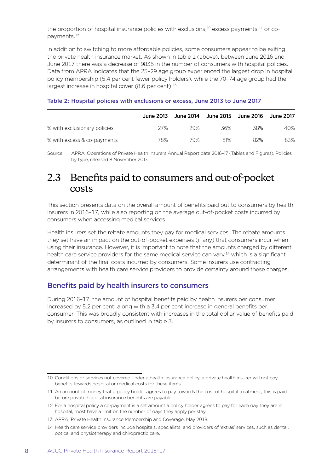<span id="page-11-0"></span>the proportion of hospital insurance policies with exclusions, $10$  excess payments, $11$  or copayments.12

In addition to switching to more affordable policies, some consumers appear to be exiting the private health insurance market. As shown in table 1 (above), between June 2016 and June 2017 there was a decrease of 9835 in the number of consumers with hospital policies. Data from APRA indicates that the 25–29 age group experienced the largest drop in hospital policy membership (5.4 per cent fewer policy holders), while the 70–74 age group had the largest increase in hospital cover (8.6 per cent).<sup>13</sup>

|                              | June 2013 |     | June 2014   June 2015   June 2016 |     | June 2017 |
|------------------------------|-----------|-----|-----------------------------------|-----|-----------|
| % with exclusionary policies | 27%       | 29% | 36%                               | 38% | 40%       |
| % with excess & co-payments  | 78%       | 79% | 81%                               | 82% | 83%       |

#### Table 2: Hospital policies with exclusions or excess, June 2013 to June 2017

Source: APRA, Operations of Private Health Insurers Annual Report data 2016–17 (Tables and Figures), Policies by type, released 8 November 2017.

### 2.3 Benefits paid to consumers and out-of-pocket costs

This section presents data on the overall amount of benefits paid out to consumers by health insurers in 2016–17, while also reporting on the average out-of-pocket costs incurred by consumers when accessing medical services.

Health insurers set the rebate amounts they pay for medical services. The rebate amounts they set have an impact on the out-of-pocket expenses (if any) that consumers incur when using their insurance. However, it is important to note that the amounts charged by different health care service providers for the same medical service can vary,<sup>14</sup> which is a significant determinant of the final costs incurred by consumers. Some insurers use contracting arrangements with health care service providers to provide certainty around these charges.

#### Benefits paid by health insurers to consumers

During 2016–17, the amount of hospital benefits paid by health insurers per consumer increased by 5.2 per cent, along with a 3.4 per cent increase in general benefits per consumer. This was broadly consistent with increases in the total dollar value of benefits paid by insurers to consumers, as outlined in table 3.

<sup>10</sup> Conditions or services not covered under a health insurance policy, a private health insurer will not pay benefits towards hospital or medical costs for these items.

<sup>11</sup> An amount of money that a policy holder agrees to pay towards the cost of hospital treatment, this is paid before private hospital insurance benefits are payable.

<sup>12</sup> For a hospital policy a co-payment is a set amount a policy holder agrees to pay for each day they are in hospital, most have a limit on the number of days they apply per stay.

<sup>13</sup> APRA, Private Health Insurance Membership and Coverage, May 2018.

<sup>14</sup> Health care service providers include hospitals, specialists, and providers of 'extras' services, such as dental, optical and physiotherapy and chiropractic care.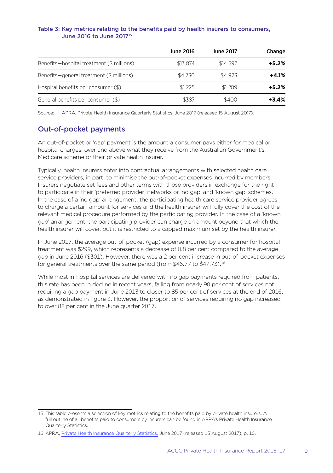#### Table 3: Key metrics relating to the benefits paid by health insurers to consumers, June 2016 to June 201715

|                                           | <b>June 2016</b> | <b>June 2017</b> | Change  |
|-------------------------------------------|------------------|------------------|---------|
| Benefits-hospital treatment (\$ millions) | \$13 874         | \$14 592         | $+5.2%$ |
| Benefits-general treatment (\$ millions)  | \$4 730          | \$4 923          | $+4.1%$ |
| Hospital benefits per consumer (\$)       | \$1225           | \$1289           | $+5.2%$ |
| General benefits per consumer (\$)        | \$387            | \$400            | $+3.4%$ |

Source: APRA, Private Health Insurance Quarterly Statistics, June 2017 (released 15 August 2017).

#### Out-of-pocket payments

An out-of-pocket or 'gap' payment is the amount a consumer pays either for medical or hospital charges, over and above what they receive from the Australian Government's Medicare scheme or their private health insurer.

Typically, health insurers enter into contractual arrangements with selected health care service providers, in part, to minimise the out-of-pocket expenses incurred by members. Insurers negotiate set fees and other terms with those providers in exchange for the right to participate in their 'preferred provider' networks or 'no gap' and 'known gap' schemes. In the case of a 'no gap' arrangement, the participating health care service provider agrees to charge a certain amount for services and the health insurer will fully cover the cost of the relevant medical procedure performed by the participating provider. In the case of a 'known gap' arrangement, the participating provider can charge an amount beyond that which the health insurer will cover, but it is restricted to a capped maximum set by the health insurer.

In June 2017, the average out-of-pocket (gap) expense incurred by a consumer for hospital treatment was \$299, which represents a decrease of 0.8 per cent compared to the average gap in June 2016 (\$301). However, there was a 2 per cent increase in out-of-pocket expenses for general treatments over the same period (from \$46.77 to \$47.73).<sup>16</sup>

While most in-hospital services are delivered with no gap payments required from patients, this rate has been in decline in recent years, falling from nearly 90 per cent of services not requiring a gap payment in June 2013 to closer to 85 per cent of services at the end of 2016, as demonstrated in figure 3. However, the proportion of services requiring no gap increased to over 88 per cent in the June quarter 2017.

<sup>15</sup> This table presents a selection of key metrics relating to the benefits paid by private health insurers. A full outline of all benefits paid to consumers by insurers can be found in APRA's Private Health Insurance Quarterly Statistics.

<sup>16</sup> APRA, [Private Health Insurance Quarterly Statistics](http://content.webarchive.nla.gov.au/gov/wayback/20171112234348/http://www.apra.gov.au/PHI/Publications/Documents/1708-QPHIS-20170630.pdf), June 2017 (released 15 August 2017), p. 10.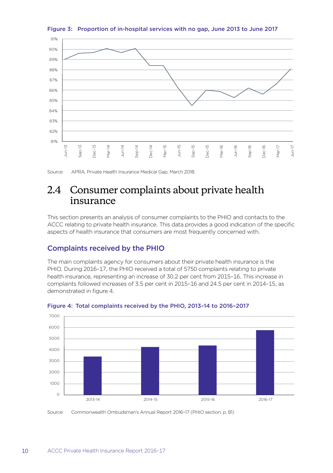

<span id="page-13-0"></span>Figure 3: Proportion of in-hospital services with no gap, June 2013 to June 2017

Source: APRA, Private Health Insurance Medical Gap, March 2018.

## 2.4 Consumer complaints about private health insurance

This section presents an analysis of consumer complaints to the PHIO and contacts to the ACCC relating to private health insurance. This data provides a good indication of the specific aspects of health insurance that consumers are most frequently concerned with.

#### Complaints received by the PHIO

The main complaints agency for consumers about their private health insurance is the PHIO. During 2016–17, the PHIO received a total of 5750 complaints relating to private health insurance, representing an increase of 30.2 per cent from 2015–16. This increase in complaints followed increases of 3.5 per cent in 2015–16 and 24.5 per cent in 2014–15, as demonstrated in figure 4.





Source: Commonwealth Ombudsman's Annual Report 2016–17 (PHIO section, p. 81)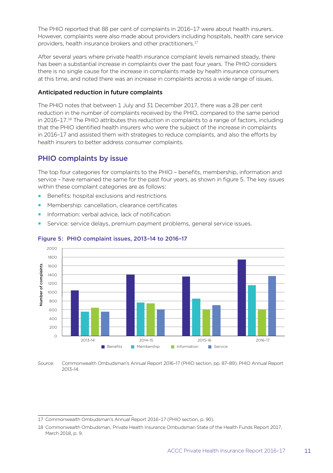The PHIO reported that 88 per cent of complaints in 2016–17 were about health insurers. However, complaints were also made about providers including hospitals, health care service providers, health insurance brokers and other practitioners.<sup>17</sup>

After several years where private health insurance complaint levels remained steady, there has been a substantial increase in complaints over the past four years. The PHIO considers there is no single cause for the increase in complaints made by health insurance consumers at this time, and noted there was an increase in complaints across a wide range of issues.

#### Anticipated reduction in future complaints

The PHIO notes that between 1 July and 31 December 2017, there was a 28 per cent reduction in the number of complaints received by the PHIO, compared to the same period in 2016–17.18 The PHIO attributes this reduction in complaints to a range of factors, including that the PHIO identified health insurers who were the subject of the increase in complaints in 2016–17 and assisted them with strategies to reduce complaints, and also the efforts by health insurers to better address consumer complaints.

#### PHIO complaints by issue

The top four categories for complaints to the PHIO – benefits, membership, information and service – have remained the same for the past four years, as shown in figure 5. The key issues within these complaint categories are as follows:

- Benefits: hospital exclusions and restrictions
- Membership: cancellation, clearance certificates
- Information: verbal advice, lack of notification
- Service: service delays, premium payment problems, general service issues.



#### Figure 5: PHIO complaint issues, 2013–14 to 2016–17

Source: Commonwealth Ombudsman's Annual Report 2016–17 (PHIO section, pp. 87–89), PHIO Annual Report 2013–14.

<sup>17</sup> Commonwealth Ombudsman's Annual Report 2016–17 (PHIO section, p. 90).

<sup>18</sup> Commonwealth Ombudsman, Private Health Insurance Ombudsman State of the Health Funds Report 2017, March 2018, p. 9.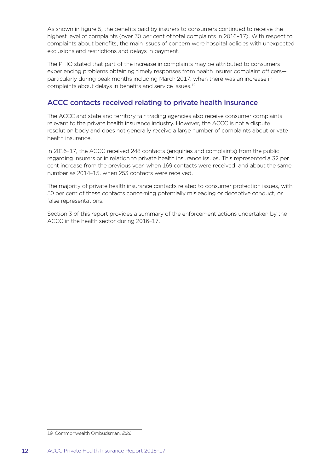As shown in figure 5, the benefits paid by insurers to consumers continued to receive the highest level of complaints (over 30 per cent of total complaints in 2016–17). With respect to complaints about benefits, the main issues of concern were hospital policies with unexpected exclusions and restrictions and delays in payment.

The PHIO stated that part of the increase in complaints may be attributed to consumers experiencing problems obtaining timely responses from health insurer complaint officers particularly during peak months including March 2017, when there was an increase in complaints about delays in benefits and service issues.19

#### ACCC contacts received relating to private health insurance

The ACCC and state and territory fair trading agencies also receive consumer complaints relevant to the private health insurance industry. However, the ACCC is not a dispute resolution body and does not generally receive a large number of complaints about private health insurance.

In 2016–17, the ACCC received 248 contacts (enquiries and complaints) from the public regarding insurers or in relation to private health insurance issues. This represented a 32 per cent increase from the previous year, when 169 contacts were received, and about the same number as 2014–15, when 253 contacts were received.

The majority of private health insurance contacts related to consumer protection issues, with 50 per cent of these contacts concerning potentially misleading or deceptive conduct, or false representations.

Section 3 of this report provides a summary of the enforcement actions undertaken by the ACCC in the health sector during 2016–17.

<sup>19</sup> Commonwealth Ombudsman, *ibid.*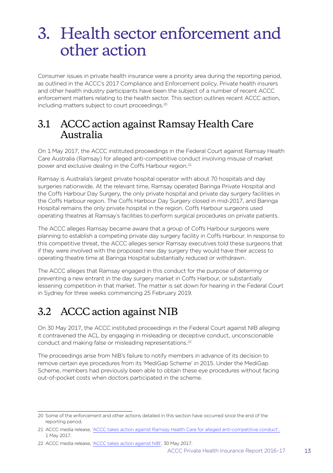## <span id="page-16-0"></span>3. Health sector enforcement and other action

Consumer issues in private health insurance were a priority area during the reporting period, as outlined in the ACCC's 2017 Compliance and Enforcement policy. Private health insurers and other health industry participants have been the subject of a number of recent ACCC enforcement matters relating to the health sector. This section outlines recent ACCC action, including matters subject to court proceedings.<sup>20</sup>

### 3.1 ACCC action against Ramsay Health Care Australia

On 1 May 2017, the ACCC instituted proceedings in the Federal Court against Ramsay Health Care Australia (Ramsay) for alleged anti-competitive conduct involving misuse of market power and exclusive dealing in the Coffs Harbour region.21

Ramsay is Australia's largest private hospital operator with about 70 hospitals and day surgeries nationwide. At the relevant time, Ramsay operated Baringa Private Hospital and the Coffs Harbour Day Surgery, the only private hospital and private day surgery facilities in the Coffs Harbour region. The Coffs Harbour Day Surgery closed in mid-2017, and Baringa Hospital remains the only private hospital in the region. Coffs Harbour surgeons used operating theatres at Ramsay's facilities to perform surgical procedures on private patients.

The ACCC alleges Ramsay became aware that a group of Coffs Harbour surgeons were planning to establish a competing private day surgery facility in Coffs Harbour. In response to this competitive threat, the ACCC alleges senior Ramsay executives told these surgeons that if they were involved with the proposed new day surgery they would have their access to operating theatre time at Baringa Hospital substantially reduced or withdrawn.

The ACCC alleges that Ramsay engaged in this conduct for the purpose of deterring or preventing a new entrant in the day surgery market in Coffs Harbour, or substantially lessening competition in that market. The matter is set down for hearing in the Federal Court in Sydney for three weeks commencing 25 February 2019.

## 3.2 ACCC action against NIB

On 30 May 2017, the ACCC instituted proceedings in the Federal Court against NIB alleging it contravened the ACL by engaging in misleading or deceptive conduct, unconscionable conduct and making false or misleading representations.<sup>22</sup>

The proceedings arise from NIB's failure to notify members in advance of its decision to remove certain eye procedures from its 'MediGap Scheme' in 2015. Under the MediGap Scheme, members had previously been able to obtain these eye procedures without facing out-of-pocket costs when doctors participated in the scheme.

<sup>20</sup> Some of the enforcement and other actions detailed in this section have occurred since the end of the reporting period.

<sup>21</sup> ACCC media release, ['ACCC takes action against Ramsay Health Care for alleged anti-competitive conduct'](https://www.accc.gov.au/media-release/accc-takes-action-against-ramsay-health-care-for-alleged-anti-competitive-conduct), 1 May 2017.

<sup>22</sup> ACCC media release, ['ACCC takes action against NIB'](https://www.accc.gov.au/media-release/accc-takes-action-against-nib), 30 May 2017.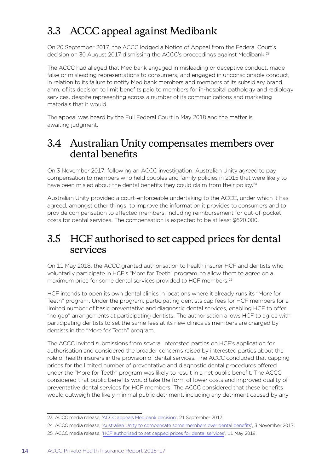## <span id="page-17-0"></span>3.3 ACCC appeal against Medibank

On 20 September 2017, the ACCC lodged a Notice of Appeal from the Federal Court's decision on 30 August 2017 dismissing the ACCC's proceedings against Medibank.23

The ACCC had alleged that Medibank engaged in misleading or deceptive conduct, made false or misleading representations to consumers, and engaged in unconscionable conduct, in relation to its failure to notify Medibank members and members of its subsidiary brand, ahm, of its decision to limit benefits paid to members for in-hospital pathology and radiology services, despite representing across a number of its communications and marketing materials that it would.

The appeal was heard by the Full Federal Court in May 2018 and the matter is awaiting judgment.

### 3.4 Australian Unity compensates members over dental benefits

On 3 November 2017, following an ACCC investigation, Australian Unity agreed to pay compensation to members who held couples and family policies in 2015 that were likely to have been misled about the dental benefits they could claim from their policy.<sup>24</sup>

Australian Unity provided a court-enforceable undertaking to the ACCC, under which it has agreed, amongst other things, to improve the information it provides to consumers and to provide compensation to affected members, including reimbursement for out-of-pocket costs for dental services. The compensation is expected to be at least \$620 000.

### 3.5 HCF authorised to set capped prices for dental services

On 11 May 2018, the ACCC granted authorisation to health insurer HCF and dentists who voluntarily participate in HCF's "More for Teeth" program, to allow them to agree on a maximum price for some dental services provided to HCF members.25

HCF intends to open its own dental clinics in locations where it already runs its "More for Teeth" program. Under the program, participating dentists cap fees for HCF members for a limited number of basic preventative and diagnostic dental services, enabling HCF to offer "no gap" arrangements at participating dentists. The authorisation allows HCF to agree with participating dentists to set the same fees at its new clinics as members are charged by dentists in the "More for Teeth" program.

The ACCC invited submissions from several interested parties on HCF's application for authorisation and considered the broader concerns raised by interested parties about the role of health insurers in the provision of dental services. The ACCC concluded that capping prices for the limited number of preventative and diagnostic dental procedures offered under the "More for Teeth" program was likely to result in a net public benefit. The ACCC considered that public benefits would take the form of lower costs and improved quality of preventative dental services for HCF members. The ACCC considered that these benefits would outweigh the likely minimal public detriment, including any detriment caused by any

<sup>23</sup> ACCC media release, ['ACCC appeals Medibank decision](https://www.accc.gov.au/media-release/accc-appeals-medibank-decision)', 21 September 2017.

<sup>24</sup> ACCC media release, ['Australian Unity to compensate some members over dental benefits](https://www.accc.gov.au/media-release/australian-unity-to-compensate-some-members-over-dental-benefits)', 3 November 2017.

<sup>25</sup> ACCC media release, ['HCF authorised to set capped prices for dental services](https://www.accc.gov.au/media-release/hcf-authorised-to-set-capped-prices-for-dental-services)', 11 May 2018.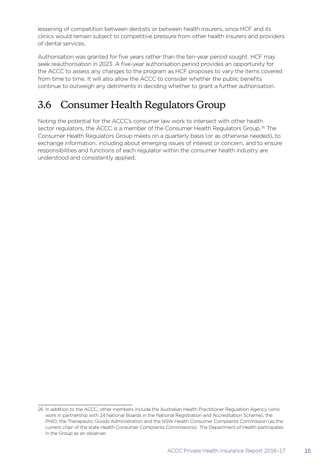<span id="page-18-0"></span>lessening of competition between dentists or between health insurers, since HCF and its clinics would remain subject to competitive pressure from other health insurers and providers of dental services.

Authorisation was granted for five years rather than the ten-year period sought. HCF may seek reauthorisation in 2023. A five-year authorisation period provides an opportunity for the ACCC to assess any changes to the program as HCF proposes to vary the items covered from time to time. It will also allow the ACCC to consider whether the public benefits continue to outweigh any detriments in deciding whether to grant a further authorisation.

## 3.6 Consumer Health Regulators Group

Noting the potential for the ACCC's consumer law work to intersect with other health sector regulators, the ACCC is a member of the Consumer Health Regulators Group.<sup>26</sup> The Consumer Health Regulators Group meets on a quarterly basis (or as otherwise needed), to exchange information, including about emerging issues of interest or concern, and to ensure responsibilities and functions of each regulator within the consumer health industry are understood and consistently applied.

<sup>26</sup> In addition to the ACCC, other members include the Australian Health Practitioner Regulation Agency (who work in partnership with 14 National Boards in the National Registration and Accreditation Scheme), the PHIO, the Therapeutic Goods Administration and the NSW Health Consumer Complaints Commission (as the current chair of the state Health Consumer Complaints Commissions). The Department of Health participates in the Group as an observer.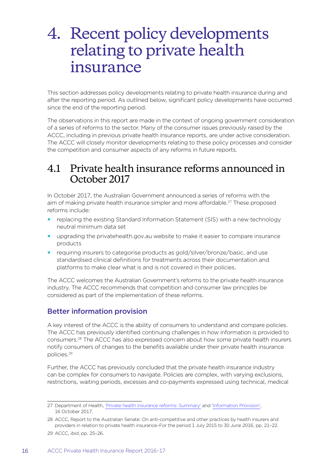## <span id="page-19-0"></span>4. Recent policy developments relating to private health insurance

This section addresses policy developments relating to private health insurance during and after the reporting period. As outlined below, significant policy developments have occurred since the end of the reporting period.

The observations in this report are made in the context of ongoing government consideration of a series of reforms to the sector. Many of the consumer issues previously raised by the ACCC, including in previous private health insurance reports, are under active consideration. The ACCC will closely monitor developments relating to these policy processes and consider the competition and consumer aspects of any reforms in future reports.

### 4.1 Private health insurance reforms announced in October 2017

In October 2017, the Australian Government announced a series of reforms with the aim of making private health insurance simpler and more affordable.27 These proposed reforms include:

- replacing the existing Standard Information Statement (SIS) with a new technology neutral minimum data set
- **upgrading the privatehealth.gov.au website to make it easier to compare insurance** products
- requiring insurers to categorise products as gold/silver/bronze/basic, and use standardised clinical definitions for treatments across their documentation and platforms to make clear what is and is not covered in their policies.

The ACCC welcomes the Australian Government's reforms to the private health insurance industry. The ACCC recommends that competition and consumer law principles be considered as part of the implementation of these reforms.

#### Better information provision

A key interest of the ACCC is the ability of consumers to understand and compare policies. The ACCC has previously identified continuing challenges in how information is provided to consumers.28 The ACCC has also expressed concern about how some private health insurers notify consumers of changes to the benefits available under their private health insurance policies.29

Further, the ACCC has previously concluded that the private health insurance industry can be complex for consumers to navigate. Policies are complex, with varying exclusions, restrictions, waiting periods, excesses and co-payments expressed using technical, medical

<sup>27</sup> Department of Health, ['Private health insurance reforms: Summary'](http://www.health.gov.au/internet/main/publishing.nsf/Content/private-health-insurance-reforms-fact-sheet-summary) and ['Information Provision'](http://www.health.gov.au/internet/main/publishing.nsf/Content/private-health-insurance-reforms-fact-sheet-information-provision), 16 October 2017.

<sup>28</sup> ACCC, Report to the Australian Senate: On anti-competitive and other practices by health insurers and providers in relation to private health insurance–For the period 1 July 2015 to 30 June 2016, pp. 21–22.

<sup>29</sup> ACCC, *ibid*, pp. 25–26.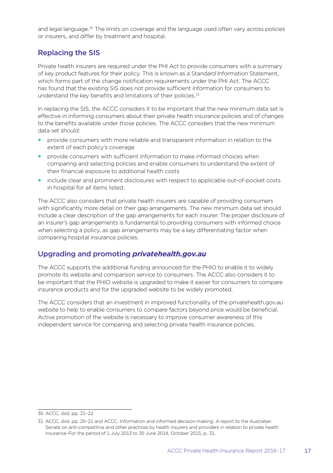and legal language.<sup>30</sup> The limits on coverage and the language used often vary across policies or insurers, and differ by treatment and hospital.

#### Replacing the SIS

Private health insurers are required under the PHI Act to provide consumers with a summary of key product features for their policy. This is known as a Standard Information Statement, which forms part of the change notification requirements under the PHI Act. The ACCC has found that the existing SIS does not provide sufficient information for consumers to understand the key benefits and limitations of their policies.<sup>31</sup>

In replacing the SIS, the ACCC considers it to be important that the new minimum data set is effective in informing consumers about their private health insurance policies and of changes to the benefits available under those policies. The ACCC considers that the new minimum data set should:

- provide consumers with more reliable and transparent information in relation to the extent of each policy's coverage
- provide consumers with sufficient information to make informed choices when comparing and selecting policies and enable consumers to understand the extent of their financial exposure to additional health costs
- **include clear and prominent disclosures with respect to applicable out-of-pocket costs** in hospital for all items listed.

The ACCC also considers that private health insurers are capable of providing consumers with significantly more detail on their gap arrangements. The new minimum data set should include a clear description of the gap arrangements for each insurer. The proper disclosure of an insurer's gap arrangements is fundamental to providing consumers with informed choice when selecting a policy, as gap arrangements may be a key differentiating factor when comparing hospital insurance policies.

#### Upgrading and promoting *privatehealth.gov.au*

The ACCC supports the additional funding announced for the PHIO to enable it to widely promote its website and comparison service to consumers. The ACCC also considers it to be important that the PHIO website is upgraded to make it easier for consumers to compare insurance products and for the upgraded website to be widely promoted.

The ACCC considers that an investment in improved functionality of the privatehealth.gov.au website to help to enable consumers to compare factors beyond price would be beneficial. Active promotion of the website is necessary to improve consumer awareness of this independent service for comparing and selecting private health insurance policies.

<sup>30</sup> ACCC, *ibid,* pp. 21–22.

<sup>31</sup> ACCC, *ibid*, pp. 20–21 and ACCC, Information and informed decision-making: A report to the Australian Senate on anti-competitive and other practices by health insurers and providers in relation to private health insurance–For the period of 1 July 2013 to 30 June 2014, October 2015, p. 31.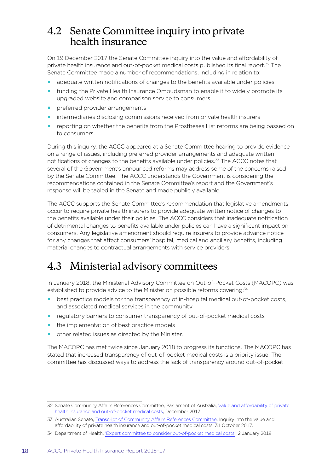### <span id="page-21-0"></span>4.2 Senate Committee inquiry into private health insurance

On 19 December 2017 the Senate Committee inquiry into the value and affordability of private health insurance and out-of-pocket medical costs published its final report.32 The Senate Committee made a number of recommendations, including in relation to:

- adequate written notifications of changes to the benefits available under policies
- funding the Private Health Insurance Ombudsman to enable it to widely promote its upgraded website and comparison service to consumers
- preferred provider arrangements
- intermediaries disclosing commissions received from private health insurers
- reporting on whether the benefits from the Prostheses List reforms are being passed on to consumers.

During this inquiry, the ACCC appeared at a Senate Committee hearing to provide evidence on a range of issues, including preferred provider arrangements and adequate written notifications of changes to the benefits available under policies.33 The ACCC notes that several of the Government's announced reforms may address some of the concerns raised by the Senate Committee. The ACCC understands the Government is considering the recommendations contained in the Senate Committee's report and the Government's response will be tabled in the Senate and made publicly available.

The ACCC supports the Senate Committee's recommendation that legislative amendments occur to require private health insurers to provide adequate written notice of changes to the benefits available under their policies. The ACCC considers that inadequate notification of detrimental changes to benefits available under policies can have a significant impact on consumers. Any legislative amendment should require insurers to provide advance notice for any changes that affect consumers' hospital, medical and ancillary benefits, including material changes to contractual arrangements with service providers.

## 4.3 Ministerial advisory committees

In January 2018, the Ministerial Advisory Committee on Out-of-Pocket Costs (MACOPC) was established to provide advice to the Minister on possible reforms covering:<sup>34</sup>

- best practice models for the transparency of in-hospital medical out-of-pocket costs, and associated medical services in the community
- regulatory barriers to consumer transparency of out-of-pocket medical costs
- the implementation of best practice models
- other related issues as directed by the Minister.

The MACOPC has met twice since January 2018 to progress its functions. The MACOPC has stated that increased transparency of out-of-pocket medical costs is a priority issue. The committee has discussed ways to address the lack of transparency around out-of-pocket

<sup>32</sup> Senate Community Affairs References Committee, Parliament of Australia, [Value and affordability of private](https://www.aph.gov.au/Parliamentary_Business/Committees/Senate/Community_Affairs/Privatehealthinsurance/Report)  [health insurance and out-of-pocket medical costs](https://www.aph.gov.au/Parliamentary_Business/Committees/Senate/Community_Affairs/Privatehealthinsurance/Report), December 2017.

<sup>33</sup> Australian Senate, [Transcript of Community Affairs References Committee,](http://www.aph.gov.au/Parliamentary_Business/Committees/Senate/Community_Affairs/Privatehealthinsurance/Public_Hearings) Inquiry into the value and affordability of private health insurance and out-of-pocket medical costs, 31 October 2017.

<sup>34</sup> Department of Health, ['Expert committee to consider out-of-pocket medical costs',](http://www.health.gov.au/internet/ministers/publishing.nsf/Content/health-mediarel-yr2018-hunt002.htm) 2 January 2018.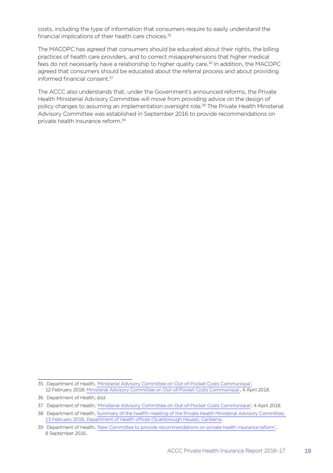costs, including the type of information that consumers require to easily understand the financial implications of their health care choices.<sup>35</sup>

The MACOPC has agreed that consumers should be educated about their rights, the billing practices of health care providers, and to correct misapprehensions that higher medical fees do not necessarily have a relationship to higher quality care.<sup>36</sup> In addition, the MACOPC agreed that consumers should be educated about the referral process and about providing informed financial consent.<sup>37</sup>

The ACCC also understands that, under the Government's announced reforms, the Private Health Ministerial Advisory Committee will move from providing advice on the design of policy changes to assuming an implementation oversight role.38 The Private Health Ministerial Advisory Committee was established in September 2016 to provide recommendations on private health insurance reform.<sup>39</sup>

<sup>35</sup> Department of Health, ['Ministerial Advisory Committee on Out-of-Pocket Costs Communique](http://www.health.gov.au/internet/main/publishing.nsf/Content/min-advisory-comm-out-of-pocket-Communiqu%C3%A9)', 12 February 2018; [Ministerial Advisory Committee on Out-of-Pocket Costs Communique](http://www.health.gov.au/internet/main/publishing.nsf/Content/min-advisory-comm-out-of-pocket-Communiqu%C3%A9-april)', 4 April 2018.

<sup>36</sup> Department of Health, *ibid.*

<sup>37</sup> Department of Health, ['Ministerial Advisory Committee on Out-of-Pocket Costs Communique](http://www.health.gov.au/internet/main/publishing.nsf/Content/min-advisory-comm-out-of-pocket-Communiqu%C3%A9-april)', 4 April 2018.

<sup>38</sup> Department of Health, [Summary of the twelfth meeting of the Private Health Ministerial Advisory Committee,](http://www.health.gov.au/internet/main/publishing.nsf/Content/phmac-meeting-12)  [13 February 2018, Department of Health offices \(Scarborough House\), Canberra](http://www.health.gov.au/internet/main/publishing.nsf/Content/phmac-meeting-12).

<sup>39</sup> Department of Health, ['New Committee to provide recommendations on private health insurance reform',](http://www.health.gov.au/internet/ministers/publishing.nsf/Content/health-mediarel-yr2016-ley056.htm) 8 September 2016.